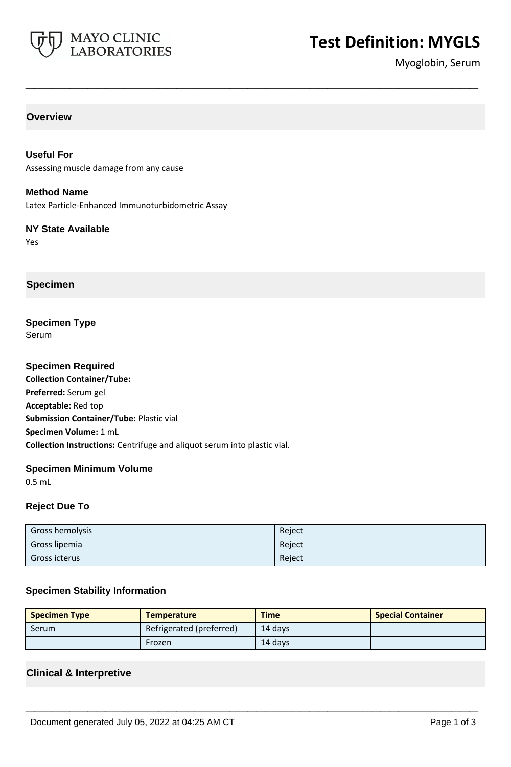

# **Test Definition: MYGLS**

Myoglobin, Serum

## **Overview**

**Useful For** Assessing muscle damage from any cause

**Method Name** Latex Particle-Enhanced Immunoturbidometric Assay

**NY State Available** Yes

**Specimen**

**Specimen Type** Serum

**Specimen Required Collection Container/Tube: Preferred:** Serum gel **Acceptable:** Red top **Submission Container/Tube:** Plastic vial **Specimen Volume:** 1 mL **Collection Instructions:** Centrifuge and aliquot serum into plastic vial.

#### **Specimen Minimum Volume**

0.5 mL

#### **Reject Due To**

| <b>Gross hemolysis</b> | Reject |
|------------------------|--------|
| Gross lipemia          | Reject |
| Gross icterus          | Reject |

**\_\_\_\_\_\_\_\_\_\_\_\_\_\_\_\_\_\_\_\_\_\_\_\_\_\_\_\_\_\_\_\_\_\_\_\_\_\_\_\_\_\_\_\_\_\_\_\_\_\_\_**

#### **Specimen Stability Information**

| <b>Specimen Type</b> | <b>Temperature</b>       | <b>Time</b> | <b>Special Container</b> |
|----------------------|--------------------------|-------------|--------------------------|
| <b>Serum</b>         | Refrigerated (preferred) | 14 davs     |                          |
|                      | Frozen                   | 14 days     |                          |

**\_\_\_\_\_\_\_\_\_\_\_\_\_\_\_\_\_\_\_\_\_\_\_\_\_\_\_\_\_\_\_\_\_\_\_\_\_\_\_\_\_\_\_\_\_\_\_\_\_\_\_**

#### **Clinical & Interpretive**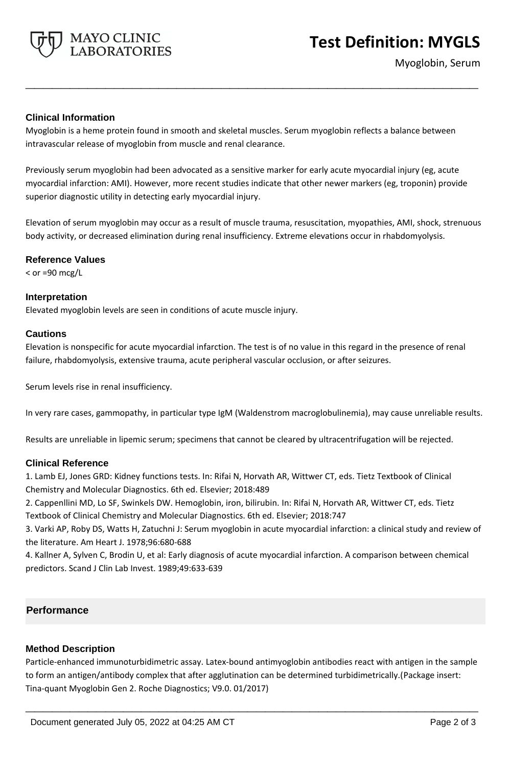

Myoglobin, Serum

#### **Clinical Information**

Myoglobin is a heme protein found in smooth and skeletal muscles. Serum myoglobin reflects a balance between intravascular release of myoglobin from muscle and renal clearance.

**\_\_\_\_\_\_\_\_\_\_\_\_\_\_\_\_\_\_\_\_\_\_\_\_\_\_\_\_\_\_\_\_\_\_\_\_\_\_\_\_\_\_\_\_\_\_\_\_\_\_\_**

Previously serum myoglobin had been advocated as a sensitive marker for early acute myocardial injury (eg, acute myocardial infarction: AMI). However, more recent studies indicate that other newer markers (eg, troponin) provide superior diagnostic utility in detecting early myocardial injury.

Elevation of serum myoglobin may occur as a result of muscle trauma, resuscitation, myopathies, AMI, shock, strenuous body activity, or decreased elimination during renal insufficiency. Extreme elevations occur in rhabdomyolysis.

#### **Reference Values**

 $<$  or =90 mcg/L

#### **Interpretation**

Elevated myoglobin levels are seen in conditions of acute muscle injury.

#### **Cautions**

Elevation is nonspecific for acute myocardial infarction. The test is of no value in this regard in the presence of renal failure, rhabdomyolysis, extensive trauma, acute peripheral vascular occlusion, or after seizures.

Serum levels rise in renal insufficiency.

In very rare cases, gammopathy, in particular type IgM (Waldenstrom macroglobulinemia), may cause unreliable results.

Results are unreliable in lipemic serum; specimens that cannot be cleared by ultracentrifugation will be rejected.

#### **Clinical Reference**

1. Lamb EJ, Jones GRD: Kidney functions tests. In: Rifai N, Horvath AR, Wittwer CT, eds. Tietz Textbook of Clinical Chemistry and Molecular Diagnostics. 6th ed. Elsevier; 2018:489

2. Cappenllini MD, Lo SF, Swinkels DW. Hemoglobin, iron, bilirubin. In: Rifai N, Horvath AR, Wittwer CT, eds. Tietz Textbook of Clinical Chemistry and Molecular Diagnostics. 6th ed. Elsevier; 2018:747

3. Varki AP, Roby DS, Watts H, Zatuchni J: Serum myoglobin in acute myocardial infarction: a clinical study and review of the literature. Am Heart J. 1978;96:680-688

4. Kallner A, Sylven C, Brodin U, et al: Early diagnosis of acute myocardial infarction. A comparison between chemical predictors. Scand J Clin Lab Invest. 1989;49:633-639

## **Performance**

#### **Method Description**

Particle-enhanced immunoturbidimetric assay. Latex-bound antimyoglobin antibodies react with antigen in the sample to form an antigen/antibody complex that after agglutination can be determined turbidimetrically.(Package insert: Tina-quant Myoglobin Gen 2. Roche Diagnostics; V9.0. 01/2017)

**\_\_\_\_\_\_\_\_\_\_\_\_\_\_\_\_\_\_\_\_\_\_\_\_\_\_\_\_\_\_\_\_\_\_\_\_\_\_\_\_\_\_\_\_\_\_\_\_\_\_\_**